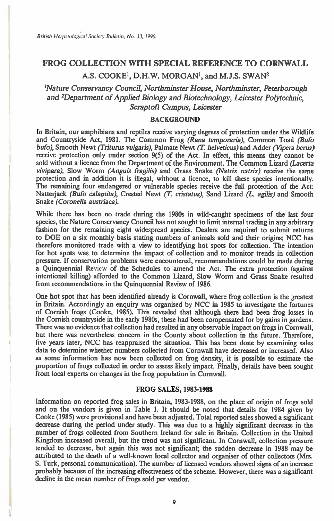# **FROG COLLECTION WITH SPECIAL REFERENCE TO CORNWALL A.S. COOKE', D.H.W. MORGANI, and M.J.S. SWAN2**

*'Nature Conservancy Council, Northminster House, Northminster, Peterborough and 2Department of Applied Biology and Biotechnology, Leicester Polytechnic, Scraptoft Campus, Leicester* 

## **BACKGROUND**

**In Britain, our amphibians and reptiles receive varying degrees of protection under the Wildlife and Countryside Act, 1981. The Common Frog (Rana** *temporaria),* **Common Toad** *(Bufo bufo),* **Smooth Newt** *(Triturus vulgaris),* **Palmate Newt (T** *helveticus) and* **Adder** *(Vipera berus)*  **receive protection only under section 9(5) of the Act. In effect, this means they cannot be sold without a licence from the Department of the Environment. The Common Lizard** *(Lacerta vivipara),* **Slow Worm** *(Anguis fragilis)* **and Grass Snake** *(Natrix natrix)* **receive the same protection and in addition it is illegal, without a licence, to kill these species intentionally. The remaining four endangered or vulnerable species receive the full protection of the Act: Natterjack** *(Bufo calainita),* **Crested Newt** *(T. cristatus),* **Sand Lizard** *(L. agilis)* **and Smooth Snake** *(Coronella austriaca).* 

**While there has been no trade during the 1980s in wild-caught specimens of the last four species, the Nature Conservancy Council has not sought to limit internal trading in any arbitrary fashion for the remaining eight widespread species. Dealers are required to submit returns to DOE on a six monthly basis stating numbers of animals sold and their origins; NCC has therefore monitored trade with a view to identifying hot spots for collection. The intention for hot spots was to determine the impact of collection and to monitor trends in collection pressure. If conservation problems were encountered, recommendations could be made during a Quinquennial Review of the Schedules to amend the Act. The extra protection (against intentional killing) afforded to the Common Lizard, Slow Worm and Grass Snake resulted from recommendations in the Quinquennial Review of 1986.** 

**One hot spot that has been identified already is Cornwall, where frog collection is the greatest in Britain. Accordingly an enquiry was organised by NCC in 1985 to investigate the fortunes of Cornish frogs (Cooke, 1985). This revealed that although there had been frog losses in the Cornish countryside in the early 1980s, these had been compensated for by gains in gardens. There was no evidence that collection had resulted in any observable impact on frogs in Cornwall, but there was nevertheless concern in the County about collection in the future. Therefore, five years later, NCC has reappraised the situation. This has been done by examining sales data to determine whether numbers collected from Cornwall have decreased or increased. Also as some information has now been collected on frog density, it is possible to estimate the proportion of frogs collected in order to assess likely impact. Finally, details have been sought from local experts on changes in the frog population in Cornwall.** 

## **FROG SALES, 1983-1988**

**Information on reported frog sales in Britain, 1983-1988, on the place of origin of frogs sold and on the vendors is given in Table 1. It should be noted that details for 1984 given by Cooke (1985) were provisional and have been adjusted. Total reported sales showed a significant decrease during the period under study. This was due to a highly significant decrease in the number of frogs collected from Southern Ireland for sale in Britain. Collection in the United Kingdom increased overall, but the trend was not significant. In Cornwall, collection pressure tended to decrease, but again this was not significant; the sudden decrease in 1988 may be attributed to the death of a well-known local collector and organiser of other collectors (Mrs. S. Turk, personal communication). The number of licensed vendors showed signs of an increase probably because of the increasing effectiveness of the scheme. However, there was a significant decline in the mean number of frogs sold per vendor.**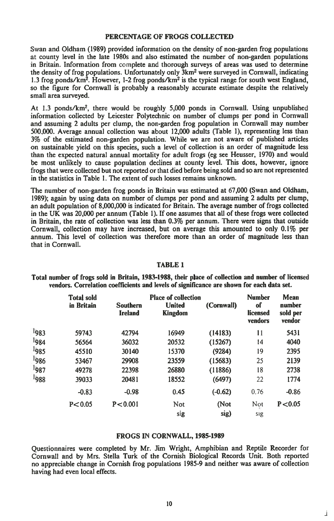## **PERCENTAGE OF FROGS COLLECTED**

Swan and Oldham (1989) provided information on the density of non-garden frog populations at county level in the late 1980s and also estimated the number of non-garden populations in Britain. Information from complete and thorough surveys of areas was used to determine the density of frog populations. Unfortunately only  $3km^2$  were surveyed in Cornwall, indicating 1.3 frog ponds/km<sup>2</sup>. However, 1-2 frog ponds/km<sup>2</sup> is the typical range for south west England, so the figure for Cornwall is probably a reasonably accurate estimate despite the relatively small area surveyed.

At 1.3 ponds/km2, there would be roughly 5,000 ponds in Cornwall. Using unpublished information collected by Leicester Polytechnic on number of clumps per pond in Cornwall and assuming 2 adults per clump, the non-garden frog population in Cornwall may number 500,000. Average annual collection was about 12,000 adults (Table 1), representing less than 3% of the estimated non-garden population. While we are not aware of published articles on sustainable yield on this species, such a level of collection is an order of magnitude less than the expected natural annual mortality for adult frogs (eg see Heusser, 1970) and would be most unlikely to cause population declines at county level. This does, however, ignore frogs that were collected but not reported or that died before being sold and so are not represented in the statistics in Table 1. The extent of such losses remains unknown.

The number of non-garden frog ponds in Britain was estimated at 67,000 (Swan and Oldham, 1989); again by using data on number of clumps per pond and assuming 2 adults per clump, an adult population of 8,000,000 is indicated for Britain. The average number of frogs collected in the UK was 20,000 per annum (Table 1). If one assumes that all of these frogs were collected in Britain, the rate of collection was less than 0.3% per annum. There were signs that outside Cornwall, collection may have increased, but on average this amounted to only 0.1% per annum. This level of collection was therefore more than an order of magnitude less than that in Cornwall.

#### **TABLE 1**

**Total number of frogs sold in Britain, 1983-1988, their place of collection and number of licensed vendors. Correlation coefficients and levels of significance are shown for each data set.** 

|      | Total sold<br>in Britain | <b>Southern</b><br><b>Ireland</b> | <b>Place of collection</b><br><b>United</b><br><b>Kingdom</b> | (Cornwall) | <b>Number</b><br>of<br>licensed<br>vendors | Mean<br>number<br>sold per<br>vendor |
|------|--------------------------|-----------------------------------|---------------------------------------------------------------|------------|--------------------------------------------|--------------------------------------|
| 1983 | 59743                    | 42794                             | 16949                                                         | (14183)    | 11                                         | 5431                                 |
| 1984 | 56564                    | 36032                             | 20532                                                         | (15267)    | 14                                         | 4040                                 |
| 1985 | 45510                    | 30140                             | 15370                                                         | (9284)     | 19                                         | 2395                                 |
| 1986 | 53467                    | 29908                             | 23559                                                         | (15683)    | 25                                         | 2139                                 |
| 987  | 49278                    | 22398                             | 26880                                                         | (11886)    | 18                                         | 2738                                 |
| 1988 | 39033                    | 20481                             | 18552                                                         | (6497)     | 22                                         | 1774                                 |
|      | $-0.83$                  | $-0.98$                           | 0.45                                                          | $(-0.62)$  | 0.76                                       | $-0.86$                              |
|      | P < 0.05                 | P < 0.001                         | Not                                                           | (Not       | Not                                        | P < 0.05                             |
|      |                          |                                   | sig                                                           | sig)       | sig                                        |                                      |

#### **FROGS IN CORNWALL, 1985-1989**

Questionnaires were completed by Mr. Jim Wright, Amphibian and Reptile Recorder for Cornwall and by Mrs. Stella Turk of the Cornish Biological Records Unit. Both reported no appreciable change in Cornish frog populations 1985-9 and neither was aware of collection having had even local effects.

L.